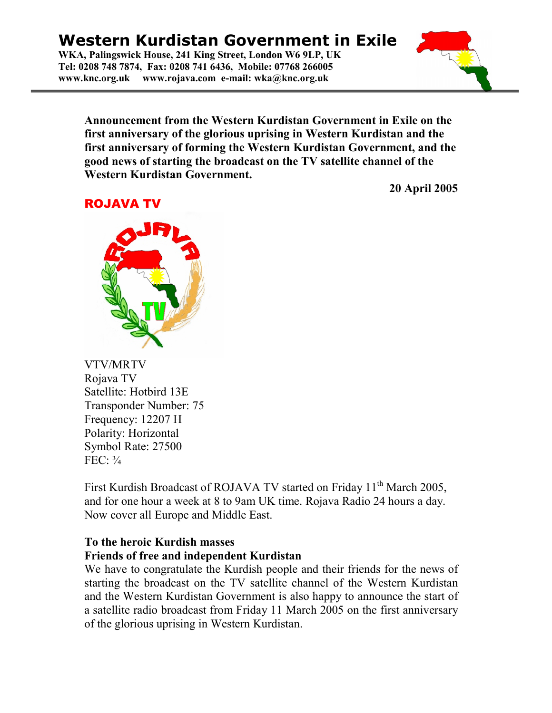## Western Kurdistan Government in Exile

WKA, Palingswick House, 241 King Street, London W6 9LP, UK Tel: 0208 748 7874, Fax: 0208 741 6436, Mobile: 07768 266005 www.knc.org.uk www.rojava.com e-mail: wka@knc.org.uk



20 April 2005

## ROJAVA TV



VTV/MRTV Rojava TV Satellite: Hotbird 13E Transponder Number: 75 Frequency: 12207 H Polarity: Horizontal Symbol Rate: 27500 FEC: ¾

First Kurdish Broadcast of ROJAVA TV started on Friday 11<sup>th</sup> March 2005, and for one hour a week at 8 to 9am UK time. Rojava Radio 24 hours a day. Now cover all Europe and Middle East.

## To the heroic Kurdish masses Friends of free and independent Kurdistan

We have to congratulate the Kurdish people and their friends for the news of starting the broadcast on the TV satellite channel of the Western Kurdistan and the Western Kurdistan Government is also happy to announce the start of a satellite radio broadcast from Friday 11 March 2005 on the first anniversary of the glorious uprising in Western Kurdistan.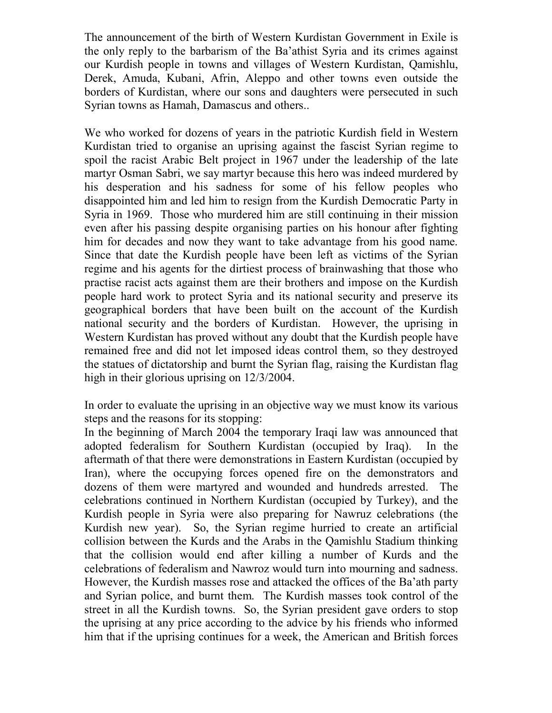The announcement of the birth of Western Kurdistan Government in Exile is the only reply to the barbarism of the Ba'athist Syria and its crimes against our Kurdish people in towns and villages of Western Kurdistan, Qamishlu, Derek, Amuda, Kubani, Afrin, Aleppo and other towns even outside the borders of Kurdistan, where our sons and daughters were persecuted in such Syrian towns as Hamah, Damascus and others..

We who worked for dozens of years in the patriotic Kurdish field in Western Kurdistan tried to organise an uprising against the fascist Syrian regime to spoil the racist Arabic Belt project in 1967 under the leadership of the late martyr Osman Sabri, we say martyr because this hero was indeed murdered by his desperation and his sadness for some of his fellow peoples who disappointed him and led him to resign from the Kurdish Democratic Party in Syria in 1969. Those who murdered him are still continuing in their mission even after his passing despite organising parties on his honour after fighting him for decades and now they want to take advantage from his good name. Since that date the Kurdish people have been left as victims of the Syrian regime and his agents for the dirtiest process of brainwashing that those who practise racist acts against them are their brothers and impose on the Kurdish people hard work to protect Syria and its national security and preserve its geographical borders that have been built on the account of the Kurdish national security and the borders of Kurdistan. However, the uprising in Western Kurdistan has proved without any doubt that the Kurdish people have remained free and did not let imposed ideas control them, so they destroyed the statues of dictatorship and burnt the Syrian flag, raising the Kurdistan flag high in their glorious uprising on 12/3/2004.

In order to evaluate the uprising in an objective way we must know its various steps and the reasons for its stopping:

In the beginning of March 2004 the temporary Iraqi law was announced that adopted federalism for Southern Kurdistan (occupied by Iraq). In the aftermath of that there were demonstrations in Eastern Kurdistan (occupied by Iran), where the occupying forces opened fire on the demonstrators and dozens of them were martyred and wounded and hundreds arrested. The celebrations continued in Northern Kurdistan (occupied by Turkey), and the Kurdish people in Syria were also preparing for Nawruz celebrations (the Kurdish new year). So, the Syrian regime hurried to create an artificial collision between the Kurds and the Arabs in the Qamishlu Stadium thinking that the collision would end after killing a number of Kurds and the celebrations of federalism and Nawroz would turn into mourning and sadness. However, the Kurdish masses rose and attacked the offices of the Ba'ath party and Syrian police, and burnt them. The Kurdish masses took control of the street in all the Kurdish towns. So, the Syrian president gave orders to stop the uprising at any price according to the advice by his friends who informed him that if the uprising continues for a week, the American and British forces